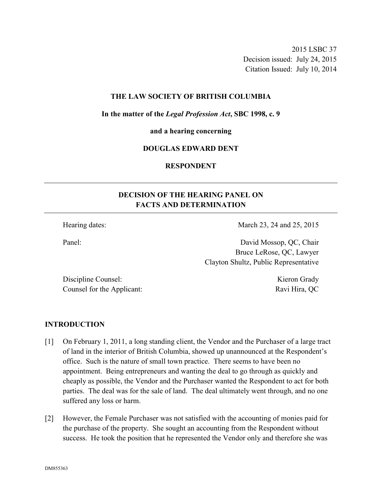2015 LSBC 37 Decision issued: July 24, 2015 Citation Issued: July 10, 2014

#### **THE LAW SOCIETY OF BRITISH COLUMBIA**

**In the matter of the** *Legal Profession Act***, SBC 1998, c. 9** 

**and a hearing concerning** 

#### **DOUGLAS EDWARD DENT**

**RESPONDENT** 

## **DECISION OF THE HEARING PANEL ON FACTS AND DETERMINATION**

Hearing dates: March 23, 24 and 25, 2015

Panel: David Mossop, QC, Chair Bruce LeRose, QC, Lawyer Clayton Shultz, Public Representative

Discipline Counsel: Kieron Grady Counsel for the Applicant: Ravi Hira, QC

#### **INTRODUCTION**

- [1] On February 1, 2011, a long standing client, the Vendor and the Purchaser of a large tract of land in the interior of British Columbia, showed up unannounced at the Respondent's office. Such is the nature of small town practice. There seems to have been no appointment. Being entrepreneurs and wanting the deal to go through as quickly and cheaply as possible, the Vendor and the Purchaser wanted the Respondent to act for both parties. The deal was for the sale of land. The deal ultimately went through, and no one suffered any loss or harm.
- [2] However, the Female Purchaser was not satisfied with the accounting of monies paid for the purchase of the property. She sought an accounting from the Respondent without success. He took the position that he represented the Vendor only and therefore she was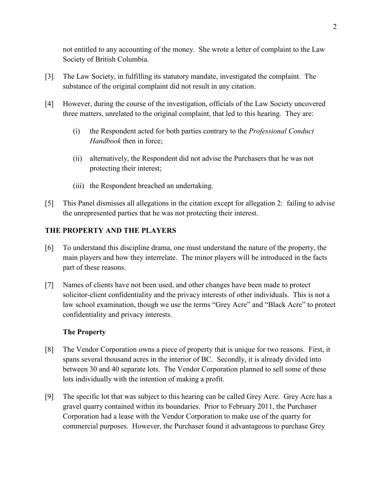not entitled to any accounting of the money. She wrote a letter of complaint to the Law Society of British Columbia.

- [3] The Law Society, in fulfilling its statutory mandate, investigated the complaint. The substance of the original complaint did not result in any citation.
- [4] However, during the course of the investigation, officials of the Law Society uncovered three matters, unrelated to the original complaint, that led to this hearing. They are:
	- (i) the Respondent acted for both parties contrary to the *Professional Conduct Handbook* then in force;
	- (ii) alternatively, the Respondent did not advise the Purchasers that he was not protecting their interest;
	- (iii) the Respondent breached an undertaking.
- [5] This Panel dismisses all allegations in the citation except for allegation 2: failing to advise the unrepresented parties that he was not protecting their interest.

# **THE PROPERTY AND THE PLAYERS**

- [6] To understand this discipline drama, one must understand the nature of the property, the main players and how they interrelate. The minor players will be introduced in the facts part of these reasons.
- [7] Names of clients have not been used, and other changes have been made to protect solicitor-client confidentiality and the privacy interests of other individuals. This is not a law school examination, though we use the terms "Grey Acre" and "Black Acre" to protect confidentiality and privacy interests.

## **The Property**

- [8] The Vendor Corporation owns a piece of property that is unique for two reasons. First, it spans several thousand acres in the interior of BC. Secondly, it is already divided into between 30 and 40 separate lots. The Vendor Corporation planned to sell some of these lots individually with the intention of making a profit.
- [9] The specific lot that was subject to this hearing can be called Grey Acre. Grey Acre has a gravel quarry contained within its boundaries. Prior to February 2011, the Purchaser Corporation had a lease with the Vendor Corporation to make use of the quarry for commercial purposes. However, the Purchaser found it advantageous to purchase Grey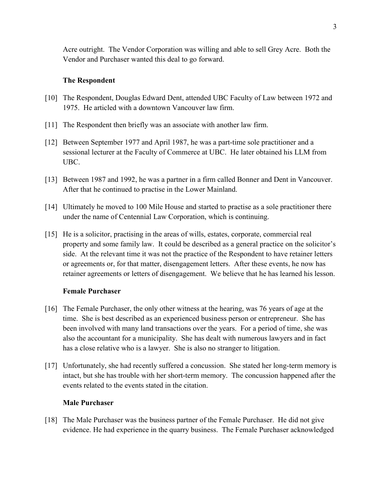Acre outright. The Vendor Corporation was willing and able to sell Grey Acre. Both the Vendor and Purchaser wanted this deal to go forward.

### **The Respondent**

- [10] The Respondent, Douglas Edward Dent, attended UBC Faculty of Law between 1972 and 1975. He articled with a downtown Vancouver law firm.
- [11] The Respondent then briefly was an associate with another law firm.
- [12] Between September 1977 and April 1987, he was a part-time sole practitioner and a sessional lecturer at the Faculty of Commerce at UBC. He later obtained his LLM from UBC.
- [13] Between 1987 and 1992, he was a partner in a firm called Bonner and Dent in Vancouver. After that he continued to practise in the Lower Mainland.
- [14] Ultimately he moved to 100 Mile House and started to practise as a sole practitioner there under the name of Centennial Law Corporation, which is continuing.
- [15] He is a solicitor, practising in the areas of wills, estates, corporate, commercial real property and some family law. It could be described as a general practice on the solicitor's side. At the relevant time it was not the practice of the Respondent to have retainer letters or agreements or, for that matter, disengagement letters. After these events, he now has retainer agreements or letters of disengagement. We believe that he has learned his lesson.

### **Female Purchaser**

- [16] The Female Purchaser, the only other witness at the hearing, was 76 years of age at the time. She is best described as an experienced business person or entrepreneur. She has been involved with many land transactions over the years. For a period of time, she was also the accountant for a municipality. She has dealt with numerous lawyers and in fact has a close relative who is a lawyer. She is also no stranger to litigation.
- [17] Unfortunately, she had recently suffered a concussion. She stated her long-term memory is intact, but she has trouble with her short-term memory. The concussion happened after the events related to the events stated in the citation.

### **Male Purchaser**

[18] The Male Purchaser was the business partner of the Female Purchaser. He did not give evidence. He had experience in the quarry business. The Female Purchaser acknowledged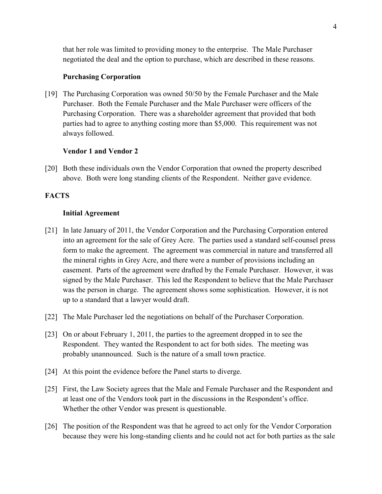that her role was limited to providing money to the enterprise. The Male Purchaser negotiated the deal and the option to purchase, which are described in these reasons.

### **Purchasing Corporation**

[19] The Purchasing Corporation was owned 50/50 by the Female Purchaser and the Male Purchaser. Both the Female Purchaser and the Male Purchaser were officers of the Purchasing Corporation. There was a shareholder agreement that provided that both parties had to agree to anything costing more than \$5,000. This requirement was not always followed.

## **Vendor 1 and Vendor 2**

[20] Both these individuals own the Vendor Corporation that owned the property described above. Both were long standing clients of the Respondent. Neither gave evidence.

## **FACTS**

### **Initial Agreement**

- [21] In late January of 2011, the Vendor Corporation and the Purchasing Corporation entered into an agreement for the sale of Grey Acre. The parties used a standard self-counsel press form to make the agreement. The agreement was commercial in nature and transferred all the mineral rights in Grey Acre, and there were a number of provisions including an easement. Parts of the agreement were drafted by the Female Purchaser. However, it was signed by the Male Purchaser. This led the Respondent to believe that the Male Purchaser was the person in charge. The agreement shows some sophistication. However, it is not up to a standard that a lawyer would draft.
- [22] The Male Purchaser led the negotiations on behalf of the Purchaser Corporation.
- [23] On or about February 1, 2011, the parties to the agreement dropped in to see the Respondent. They wanted the Respondent to act for both sides. The meeting was probably unannounced. Such is the nature of a small town practice.
- [24] At this point the evidence before the Panel starts to diverge.
- [25] First, the Law Society agrees that the Male and Female Purchaser and the Respondent and at least one of the Vendors took part in the discussions in the Respondent's office. Whether the other Vendor was present is questionable.
- [26] The position of the Respondent was that he agreed to act only for the Vendor Corporation because they were his long-standing clients and he could not act for both parties as the sale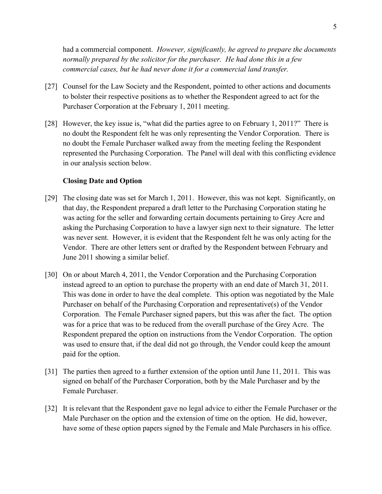had a commercial component. *However, significantly, he agreed to prepare the documents normally prepared by the solicitor for the purchaser. He had done this in a few commercial cases, but he had never done it for a commercial land transfer.*

- [27] Counsel for the Law Society and the Respondent, pointed to other actions and documents to bolster their respective positions as to whether the Respondent agreed to act for the Purchaser Corporation at the February 1, 2011 meeting.
- [28] However, the key issue is, "what did the parties agree to on February 1, 2011?" There is no doubt the Respondent felt he was only representing the Vendor Corporation. There is no doubt the Female Purchaser walked away from the meeting feeling the Respondent represented the Purchasing Corporation. The Panel will deal with this conflicting evidence in our analysis section below.

#### **Closing Date and Option**

- [29] The closing date was set for March 1, 2011. However, this was not kept. Significantly, on that day, the Respondent prepared a draft letter to the Purchasing Corporation stating he was acting for the seller and forwarding certain documents pertaining to Grey Acre and asking the Purchasing Corporation to have a lawyer sign next to their signature. The letter was never sent. However, it is evident that the Respondent felt he was only acting for the Vendor. There are other letters sent or drafted by the Respondent between February and June 2011 showing a similar belief.
- [30] On or about March 4, 2011, the Vendor Corporation and the Purchasing Corporation instead agreed to an option to purchase the property with an end date of March 31, 2011. This was done in order to have the deal complete. This option was negotiated by the Male Purchaser on behalf of the Purchasing Corporation and representative(s) of the Vendor Corporation. The Female Purchaser signed papers, but this was after the fact. The option was for a price that was to be reduced from the overall purchase of the Grey Acre. The Respondent prepared the option on instructions from the Vendor Corporation. The option was used to ensure that, if the deal did not go through, the Vendor could keep the amount paid for the option.
- [31] The parties then agreed to a further extension of the option until June 11, 2011. This was signed on behalf of the Purchaser Corporation, both by the Male Purchaser and by the Female Purchaser.
- [32] It is relevant that the Respondent gave no legal advice to either the Female Purchaser or the Male Purchaser on the option and the extension of time on the option. He did, however, have some of these option papers signed by the Female and Male Purchasers in his office.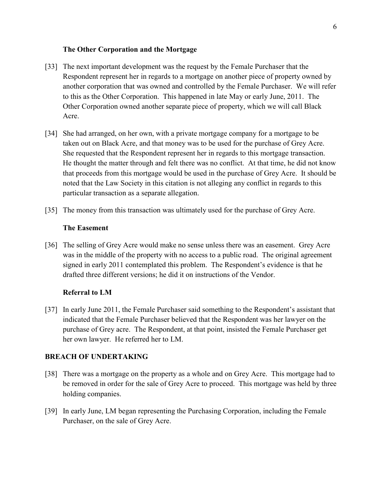#### **The Other Corporation and the Mortgage**

- [33] The next important development was the request by the Female Purchaser that the Respondent represent her in regards to a mortgage on another piece of property owned by another corporation that was owned and controlled by the Female Purchaser. We will refer to this as the Other Corporation. This happened in late May or early June, 2011. The Other Corporation owned another separate piece of property, which we will call Black Acre.
- [34] She had arranged, on her own, with a private mortgage company for a mortgage to be taken out on Black Acre, and that money was to be used for the purchase of Grey Acre. She requested that the Respondent represent her in regards to this mortgage transaction. He thought the matter through and felt there was no conflict. At that time, he did not know that proceeds from this mortgage would be used in the purchase of Grey Acre. It should be noted that the Law Society in this citation is not alleging any conflict in regards to this particular transaction as a separate allegation.
- [35] The money from this transaction was ultimately used for the purchase of Grey Acre.

#### **The Easement**

[36] The selling of Grey Acre would make no sense unless there was an easement. Grey Acre was in the middle of the property with no access to a public road. The original agreement signed in early 2011 contemplated this problem. The Respondent's evidence is that he drafted three different versions; he did it on instructions of the Vendor.

#### **Referral to LM**

[37] In early June 2011, the Female Purchaser said something to the Respondent's assistant that indicated that the Female Purchaser believed that the Respondent was her lawyer on the purchase of Grey acre. The Respondent, at that point, insisted the Female Purchaser get her own lawyer. He referred her to LM.

## **BREACH OF UNDERTAKING**

- [38] There was a mortgage on the property as a whole and on Grey Acre. This mortgage had to be removed in order for the sale of Grey Acre to proceed. This mortgage was held by three holding companies.
- [39] In early June, LM began representing the Purchasing Corporation, including the Female Purchaser, on the sale of Grey Acre.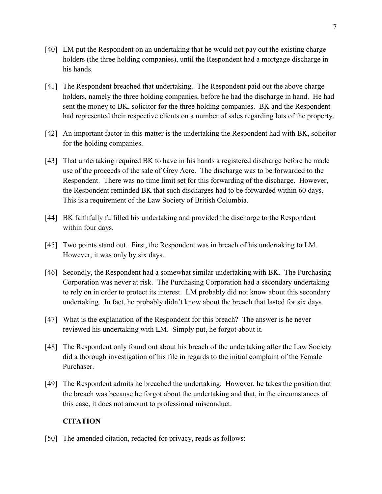- [40] LM put the Respondent on an undertaking that he would not pay out the existing charge holders (the three holding companies), until the Respondent had a mortgage discharge in his hands.
- [41] The Respondent breached that undertaking. The Respondent paid out the above charge holders, namely the three holding companies, before he had the discharge in hand. He had sent the money to BK, solicitor for the three holding companies. BK and the Respondent had represented their respective clients on a number of sales regarding lots of the property.
- [42] An important factor in this matter is the undertaking the Respondent had with BK, solicitor for the holding companies.
- [43] That undertaking required BK to have in his hands a registered discharge before he made use of the proceeds of the sale of Grey Acre. The discharge was to be forwarded to the Respondent. There was no time limit set for this forwarding of the discharge. However, the Respondent reminded BK that such discharges had to be forwarded within 60 days. This is a requirement of the Law Society of British Columbia.
- [44] BK faithfully fulfilled his undertaking and provided the discharge to the Respondent within four days.
- [45] Two points stand out. First, the Respondent was in breach of his undertaking to LM. However, it was only by six days.
- [46] Secondly, the Respondent had a somewhat similar undertaking with BK. The Purchasing Corporation was never at risk. The Purchasing Corporation had a secondary undertaking to rely on in order to protect its interest. LM probably did not know about this secondary undertaking. In fact, he probably didn't know about the breach that lasted for six days.
- [47] What is the explanation of the Respondent for this breach? The answer is he never reviewed his undertaking with LM. Simply put, he forgot about it.
- [48] The Respondent only found out about his breach of the undertaking after the Law Society did a thorough investigation of his file in regards to the initial complaint of the Female Purchaser.
- [49] The Respondent admits he breached the undertaking. However, he takes the position that the breach was because he forgot about the undertaking and that, in the circumstances of this case, it does not amount to professional misconduct.

## **CITATION**

[50] The amended citation, redacted for privacy, reads as follows: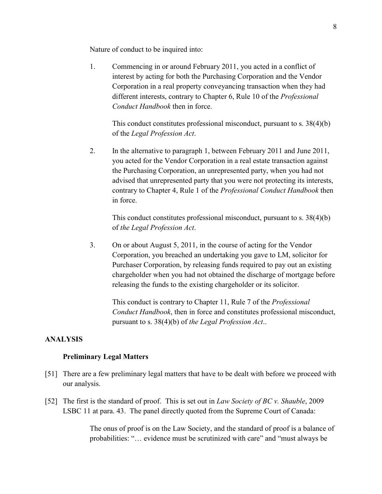Nature of conduct to be inquired into:

1. Commencing in or around February 2011, you acted in a conflict of interest by acting for both the Purchasing Corporation and the Vendor Corporation in a real property conveyancing transaction when they had different interests, contrary to Chapter 6, Rule 10 of the *Professional Conduct Handbook* then in force.

This conduct constitutes professional misconduct, pursuant to s. 38(4)(b) of the *Legal Profession Act*.

2. In the alternative to paragraph 1, between February 2011 and June 2011, you acted for the Vendor Corporation in a real estate transaction against the Purchasing Corporation, an unrepresented party, when you had not advised that unrepresented party that you were not protecting its interests, contrary to Chapter 4, Rule 1 of the *Professional Conduct Handbook* then in force.

This conduct constitutes professional misconduct, pursuant to s. 38(4)(b) of *the Legal Profession Act*.

3. On or about August 5, 2011, in the course of acting for the Vendor Corporation, you breached an undertaking you gave to LM, solicitor for Purchaser Corporation, by releasing funds required to pay out an existing chargeholder when you had not obtained the discharge of mortgage before releasing the funds to the existing chargeholder or its solicitor.

This conduct is contrary to Chapter 11, Rule 7 of the *Professional Conduct Handbook*, then in force and constitutes professional misconduct, pursuant to s. 38(4)(b) of *the Legal Profession Act*..

## **ANALYSIS**

### **Preliminary Legal Matters**

- [51] There are a few preliminary legal matters that have to be dealt with before we proceed with our analysis.
- [52] The first is the standard of proof. This is set out in *Law Society of BC v. Shauble*, 2009 LSBC 11 at para. 43. The panel directly quoted from the Supreme Court of Canada:

The onus of proof is on the Law Society, and the standard of proof is a balance of probabilities: "… evidence must be scrutinized with care" and "must always be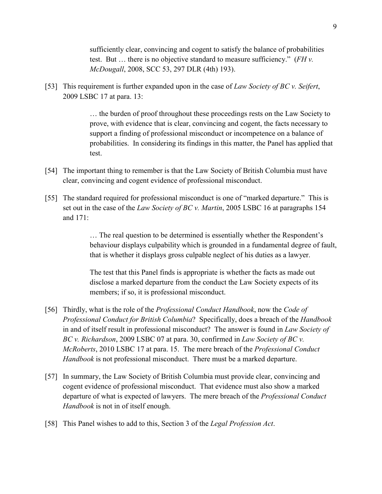sufficiently clear, convincing and cogent to satisfy the balance of probabilities test. But … there is no objective standard to measure sufficiency." (*FH v. McDougall*, 2008, SCC 53, 297 DLR (4th) 193).

[53] This requirement is further expanded upon in the case of *Law Society of BC v. Seifert*, 2009 LSBC 17 at para. 13:

> … the burden of proof throughout these proceedings rests on the Law Society to prove, with evidence that is clear, convincing and cogent, the facts necessary to support a finding of professional misconduct or incompetence on a balance of probabilities. In considering its findings in this matter, the Panel has applied that test.

- [54] The important thing to remember is that the Law Society of British Columbia must have clear, convincing and cogent evidence of professional misconduct.
- [55] The standard required for professional misconduct is one of "marked departure." This is set out in the case of the *Law Society of BC v. Martin*, 2005 LSBC 16 at paragraphs 154 and 171:

… The real question to be determined is essentially whether the Respondent's behaviour displays culpability which is grounded in a fundamental degree of fault, that is whether it displays gross culpable neglect of his duties as a lawyer.

The test that this Panel finds is appropriate is whether the facts as made out disclose a marked departure from the conduct the Law Society expects of its members; if so, it is professional misconduct.

- [56] Thirdly, what is the role of the *Professional Conduct Handbook*, now the *Code of Professional Conduct for British Columbia*? Specifically, does a breach of the *Handbook* in and of itself result in professional misconduct? The answer is found in *Law Society of BC v. Richardson*, 2009 LSBC 07 at para. 30, confirmed in *Law Society of BC v. McRoberts*, 2010 LSBC 17 at para. 15. The mere breach of the *Professional Conduct Handbook* is not professional misconduct. There must be a marked departure.
- [57] In summary, the Law Society of British Columbia must provide clear, convincing and cogent evidence of professional misconduct. That evidence must also show a marked departure of what is expected of lawyers. The mere breach of the *Professional Conduct Handbook* is not in of itself enough.
- [58] This Panel wishes to add to this, Section 3 of the *Legal Profession Act*.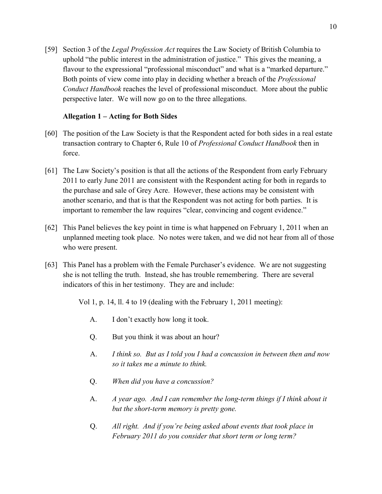[59] Section 3 of the *Legal Profession Act* requires the Law Society of British Columbia to uphold "the public interest in the administration of justice." This gives the meaning, a flavour to the expressional "professional misconduct" and what is a "marked departure." Both points of view come into play in deciding whether a breach of the *Professional Conduct Handbook* reaches the level of professional misconduct. More about the public perspective later. We will now go on to the three allegations.

### **Allegation 1 – Acting for Both Sides**

- [60] The position of the Law Society is that the Respondent acted for both sides in a real estate transaction contrary to Chapter 6, Rule 10 of *Professional Conduct Handbook* then in force.
- [61] The Law Society's position is that all the actions of the Respondent from early February 2011 to early June 2011 are consistent with the Respondent acting for both in regards to the purchase and sale of Grey Acre. However, these actions may be consistent with another scenario, and that is that the Respondent was not acting for both parties. It is important to remember the law requires "clear, convincing and cogent evidence."
- [62] This Panel believes the key point in time is what happened on February 1, 2011 when an unplanned meeting took place. No notes were taken, and we did not hear from all of those who were present.
- [63] This Panel has a problem with the Female Purchaser's evidence. We are not suggesting she is not telling the truth. Instead, she has trouble remembering. There are several indicators of this in her testimony. They are and include:

Vol 1, p. 14, ll. 4 to 19 (dealing with the February 1, 2011 meeting):

- A. I don't exactly how long it took.
- Q. But you think it was about an hour?
- A. *I think so. But as I told you I had a concussion in between then and now so it takes me a minute to think.*
- Q. *When did you have a concussion?*
- A. *A year ago. And I can remember the long-term things if I think about it but the short-term memory is pretty gone.*
- Q. *All right. And if you're being asked about events that took place in February 2011 do you consider that short term or long term?*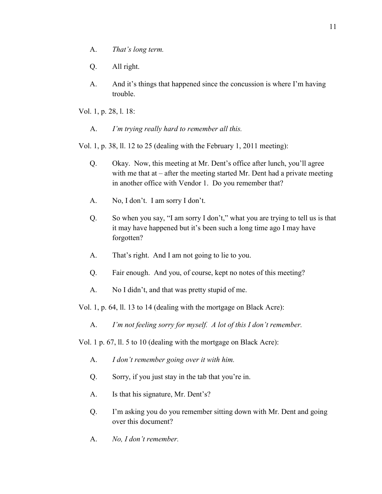- A. *That's long term.*
- Q. All right.
- A. And it's things that happened since the concussion is where I'm having trouble.

Vol. 1, p. 28, l. 18:

A. *I'm trying really hard to remember all this.* 

Vol. 1, p. 38, ll. 12 to 25 (dealing with the February 1, 2011 meeting):

- Q. Okay. Now, this meeting at Mr. Dent's office after lunch, you'll agree with me that at – after the meeting started Mr. Dent had a private meeting in another office with Vendor 1. Do you remember that?
- A. No, I don't. I am sorry I don't.
- Q. So when you say, "I am sorry I don't," what you are trying to tell us is that it may have happened but it's been such a long time ago I may have forgotten?
- A. That's right. And I am not going to lie to you.
- Q. Fair enough. And you, of course, kept no notes of this meeting?
- A. No I didn't, and that was pretty stupid of me.

Vol. 1, p. 64, ll. 13 to 14 (dealing with the mortgage on Black Acre):

A. *I'm not feeling sorry for myself. A lot of this I don't remember.* 

Vol. 1 p. 67, ll. 5 to 10 (dealing with the mortgage on Black Acre):

- A. *I don't remember going over it with him.*
- Q. Sorry, if you just stay in the tab that you're in.
- A. Is that his signature, Mr. Dent's?
- Q. I'm asking you do you remember sitting down with Mr. Dent and going over this document?
- A. *No, I don't remember.*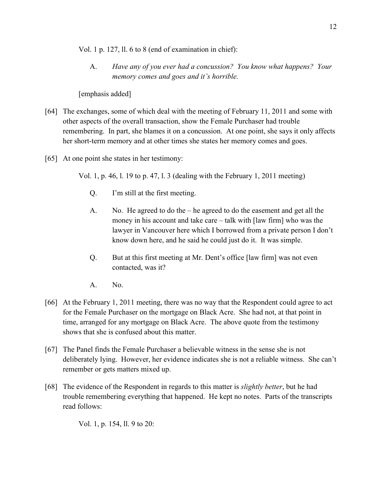Vol. 1 p. 127, ll. 6 to 8 (end of examination in chief):

A. *Have any of you ever had a concussion? You know what happens? Your memory comes and goes and it's horrible.* 

[emphasis added]

- [64] The exchanges, some of which deal with the meeting of February 11, 2011 and some with other aspects of the overall transaction, show the Female Purchaser had trouble remembering. In part, she blames it on a concussion. At one point, she says it only affects her short-term memory and at other times she states her memory comes and goes.
- [65] At one point she states in her testimony:

Vol. 1, p. 46, l. 19 to p. 47, l. 3 (dealing with the February 1, 2011 meeting)

- Q. I'm still at the first meeting.
- A. No. He agreed to do the he agreed to do the easement and get all the money in his account and take care – talk with [law firm] who was the lawyer in Vancouver here which I borrowed from a private person I don't know down here, and he said he could just do it. It was simple.
- Q. But at this first meeting at Mr. Dent's office [law firm] was not even contacted, was it?
- A. No.
- [66] At the February 1, 2011 meeting, there was no way that the Respondent could agree to act for the Female Purchaser on the mortgage on Black Acre. She had not, at that point in time, arranged for any mortgage on Black Acre. The above quote from the testimony shows that she is confused about this matter.
- [67] The Panel finds the Female Purchaser a believable witness in the sense she is not deliberately lying. However, her evidence indicates she is not a reliable witness. She can't remember or gets matters mixed up.
- [68] The evidence of the Respondent in regards to this matter is *slightly better*, but he had trouble remembering everything that happened. He kept no notes. Parts of the transcripts read follows:

Vol. 1, p. 154, ll. 9 to 20: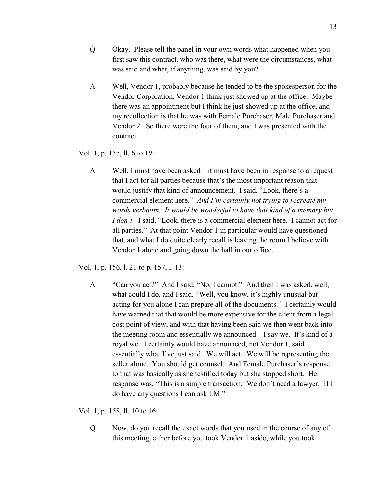- Q. Okay. Please tell the panel in your own words what happened when you first saw this contract, who was there, what were the circumstances, what was said and what, if anything, was said by you?
- A. Well, Vendor 1, probably because he tended to be the spokesperson for the Vendor Corporation, Vendor 1 think just showed up at the office. Maybe there was an appointment but I think he just showed up at the office, and my recollection is that he was with Female Purchaser, Male Purchaser and Vendor 2. So there were the four of them, and I was presented with the contract.

Vol. 1, p. 155, ll. 6 to 19:

A. Well, I must have been asked – it must have been in response to a request that I act for all parties because that's the most important reason that would justify that kind of announcement. I said, "Look, there's a commercial element here." *And I'm certainly not trying to recreate my words verbatim. It would be wonderful to have that kind of a memory but I don't.* I said, "Look, there is a commercial element here. I cannot act for all parties." At that point Vendor 1 in particular would have questioned that, and what I do quite clearly recall is leaving the room I believe with Vendor 1 alone and going down the hall in our office.

Vol. 1, p. 156, l. 21 to p. 157, l. 13:

A. "Can you act?" And I said, "No, I cannot." And then I was asked, well, what could I do, and I said, "Well, you know, it's highly unusual but acting for you alone I can prepare all of the documents." I certainly would have warned that that would be more expensive for the client from a legal cost point of view, and with that having been said we then went back into the meeting room and essentially we announced – I say we. It's kind of a royal we. I certainly would have announced, not Vendor 1, said essentially what I've just said. We will act. We will be representing the seller alone. You should get counsel. And Female Purchaser's response to that was basically as she testified today but she stopped short. Her response was, "This is a simple transaction. We don't need a lawyer. If I do have any questions I can ask LM."

Vol. 1, p. 158, ll. 10 to 16:

Q. Now, do you recall the exact words that you used in the course of any of this meeting, either before you took Vendor 1 aside, while you took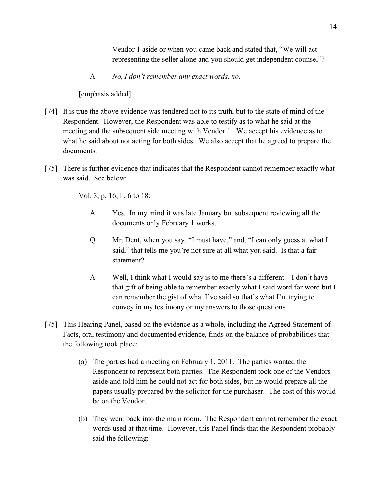Vendor 1 aside or when you came back and stated that, "We will act representing the seller alone and you should get independent counsel"?

A. *No, I don't remember any exact words, no.*

[emphasis added]

- [74] It is true the above evidence was tendered not to its truth, but to the state of mind of the Respondent. However, the Respondent was able to testify as to what he said at the meeting and the subsequent side meeting with Vendor 1. We accept his evidence as to what he said about not acting for both sides. We also accept that he agreed to prepare the documents.
- [75] There is further evidence that indicates that the Respondent cannot remember exactly what was said. See below:

Vol. 3, p. 16, ll. 6 to 18:

- A. Yes. In my mind it was late January but subsequent reviewing all the documents only February 1 works.
- Q. Mr. Dent, when you say, "I must have," and, "I can only guess at what I said," that tells me you're not sure at all what you said. Is that a fair statement?
- A. Well, I think what I would say is to me there's a different I don't have that gift of being able to remember exactly what I said word for word but I can remember the gist of what I've said so that's what I'm trying to convey in my testimony or my answers to those questions.
- [75] This Hearing Panel, based on the evidence as a whole, including the Agreed Statement of Facts, oral testimony and documented evidence, finds on the balance of probabilities that the following took place:
	- (a) The parties had a meeting on February 1, 2011. The parties wanted the Respondent to represent both parties. The Respondent took one of the Vendors aside and told him he could not act for both sides, but he would prepare all the papers usually prepared by the solicitor for the purchaser. The cost of this would be on the Vendor.
	- (b) They went back into the main room. The Respondent cannot remember the exact words used at that time. However, this Panel finds that the Respondent probably said the following: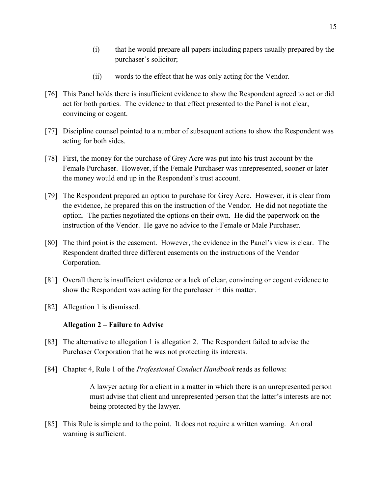- (i) that he would prepare all papers including papers usually prepared by the purchaser's solicitor;
- (ii) words to the effect that he was only acting for the Vendor.
- [76] This Panel holds there is insufficient evidence to show the Respondent agreed to act or did act for both parties. The evidence to that effect presented to the Panel is not clear, convincing or cogent.
- [77] Discipline counsel pointed to a number of subsequent actions to show the Respondent was acting for both sides.
- [78] First, the money for the purchase of Grey Acre was put into his trust account by the Female Purchaser. However, if the Female Purchaser was unrepresented, sooner or later the money would end up in the Respondent's trust account.
- [79] The Respondent prepared an option to purchase for Grey Acre. However, it is clear from the evidence, he prepared this on the instruction of the Vendor. He did not negotiate the option. The parties negotiated the options on their own. He did the paperwork on the instruction of the Vendor. He gave no advice to the Female or Male Purchaser.
- [80] The third point is the easement. However, the evidence in the Panel's view is clear. The Respondent drafted three different easements on the instructions of the Vendor Corporation.
- [81] Overall there is insufficient evidence or a lack of clear, convincing or cogent evidence to show the Respondent was acting for the purchaser in this matter.
- [82] Allegation 1 is dismissed.

## **Allegation 2 – Failure to Advise**

- [83] The alternative to allegation 1 is allegation 2. The Respondent failed to advise the Purchaser Corporation that he was not protecting its interests.
- [84] Chapter 4, Rule 1 of the *Professional Conduct Handbook* reads as follows:

A lawyer acting for a client in a matter in which there is an unrepresented person must advise that client and unrepresented person that the latter's interests are not being protected by the lawyer.

[85] This Rule is simple and to the point. It does not require a written warning. An oral warning is sufficient.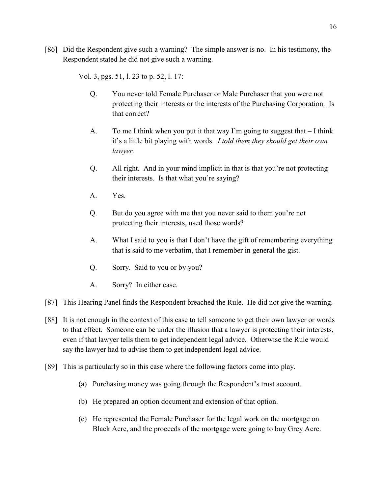[86] Did the Respondent give such a warning? The simple answer is no. In his testimony, the Respondent stated he did not give such a warning.

Vol. 3, pgs. 51, l. 23 to p. 52, l. 17:

- Q. You never told Female Purchaser or Male Purchaser that you were not protecting their interests or the interests of the Purchasing Corporation. Is that correct?
- A. To me I think when you put it that way I'm going to suggest that I think it's a little bit playing with words. *I told them they should get their own lawyer.*
- Q. All right. And in your mind implicit in that is that you're not protecting their interests. Is that what you're saying?
- A. Yes.
- Q. But do you agree with me that you never said to them you're not protecting their interests, used those words?
- A. What I said to you is that I don't have the gift of remembering everything that is said to me verbatim, that I remember in general the gist.
- Q. Sorry. Said to you or by you?
- A. Sorry? In either case.
- [87] This Hearing Panel finds the Respondent breached the Rule. He did not give the warning.
- [88] It is not enough in the context of this case to tell someone to get their own lawyer or words to that effect. Someone can be under the illusion that a lawyer is protecting their interests, even if that lawyer tells them to get independent legal advice. Otherwise the Rule would say the lawyer had to advise them to get independent legal advice.
- [89] This is particularly so in this case where the following factors come into play.
	- (a) Purchasing money was going through the Respondent's trust account.
	- (b) He prepared an option document and extension of that option.
	- (c) He represented the Female Purchaser for the legal work on the mortgage on Black Acre, and the proceeds of the mortgage were going to buy Grey Acre.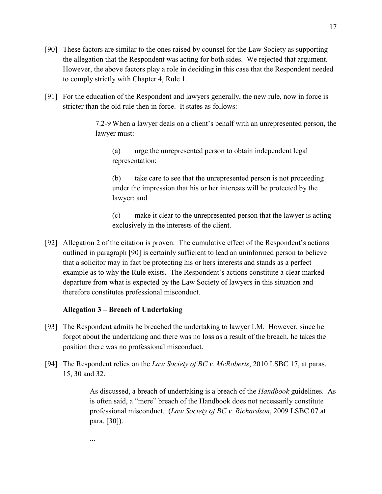- [90] These factors are similar to the ones raised by counsel for the Law Society as supporting the allegation that the Respondent was acting for both sides. We rejected that argument. However, the above factors play a role in deciding in this case that the Respondent needed to comply strictly with Chapter 4, Rule 1.
- [91] For the education of the Respondent and lawyers generally, the new rule, now in force is stricter than the old rule then in force. It states as follows:

7.2-9 When a lawyer deals on a client's behalf with an unrepresented person, the lawyer must:

(a) urge the unrepresented person to obtain independent legal representation;

(b) take care to see that the unrepresented person is not proceeding under the impression that his or her interests will be protected by the lawyer; and

(c) make it clear to the unrepresented person that the lawyer is acting exclusively in the interests of the client.

[92] Allegation 2 of the citation is proven. The cumulative effect of the Respondent's actions outlined in paragraph [90] is certainly sufficient to lead an uninformed person to believe that a solicitor may in fact be protecting his or hers interests and stands as a perfect example as to why the Rule exists. The Respondent's actions constitute a clear marked departure from what is expected by the Law Society of lawyers in this situation and therefore constitutes professional misconduct.

## **Allegation 3 – Breach of Undertaking**

...

- [93] The Respondent admits he breached the undertaking to lawyer LM. However, since he forgot about the undertaking and there was no loss as a result of the breach, he takes the position there was no professional misconduct.
- [94] The Respondent relies on the *Law Society of BC v. McRoberts*, 2010 LSBC 17, at paras. 15, 30 and 32.

As discussed, a breach of undertaking is a breach of the *Handbook* guidelines. As is often said, a "mere" breach of the Handbook does not necessarily constitute professional misconduct. (*Law Society of BC v. Richardson*, 2009 LSBC 07 at para. [30]).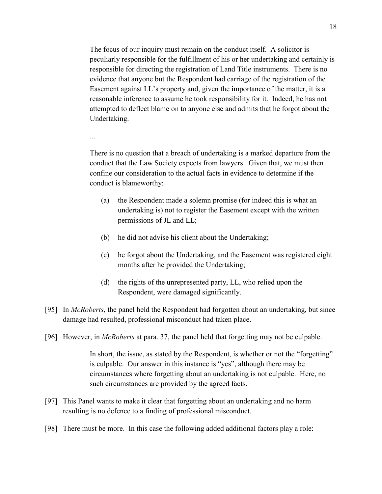The focus of our inquiry must remain on the conduct itself. A solicitor is peculiarly responsible for the fulfillment of his or her undertaking and certainly is responsible for directing the registration of Land Title instruments. There is no evidence that anyone but the Respondent had carriage of the registration of the Easement against LL's property and, given the importance of the matter, it is a reasonable inference to assume he took responsibility for it. Indeed, he has not attempted to deflect blame on to anyone else and admits that he forgot about the Undertaking.

There is no question that a breach of undertaking is a marked departure from the conduct that the Law Society expects from lawyers. Given that, we must then confine our consideration to the actual facts in evidence to determine if the conduct is blameworthy:

- (a) the Respondent made a solemn promise (for indeed this is what an undertaking is) not to register the Easement except with the written permissions of JL and LL;
- (b) he did not advise his client about the Undertaking;

...

- (c) he forgot about the Undertaking, and the Easement was registered eight months after he provided the Undertaking;
- (d) the rights of the unrepresented party, LL, who relied upon the Respondent, were damaged significantly.
- [95] In *McRoberts*, the panel held the Respondent had forgotten about an undertaking, but since damage had resulted, professional misconduct had taken place.
- [96] However, in *McRoberts* at para. 37, the panel held that forgetting may not be culpable.

In short, the issue, as stated by the Respondent, is whether or not the "forgetting" is culpable. Our answer in this instance is "yes", although there may be circumstances where forgetting about an undertaking is not culpable. Here, no such circumstances are provided by the agreed facts.

- [97] This Panel wants to make it clear that forgetting about an undertaking and no harm resulting is no defence to a finding of professional misconduct.
- [98] There must be more. In this case the following added additional factors play a role: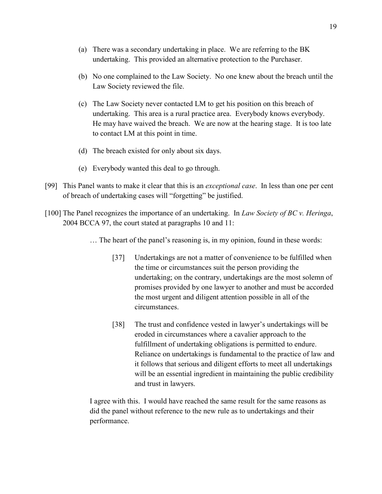- (a) There was a secondary undertaking in place. We are referring to the BK undertaking. This provided an alternative protection to the Purchaser.
- (b) No one complained to the Law Society. No one knew about the breach until the Law Society reviewed the file.
- (c) The Law Society never contacted LM to get his position on this breach of undertaking. This area is a rural practice area. Everybody knows everybody. He may have waived the breach. We are now at the hearing stage. It is too late to contact LM at this point in time.
- (d) The breach existed for only about six days.
- (e) Everybody wanted this deal to go through.
- [99] This Panel wants to make it clear that this is an *exceptional case*. In less than one per cent of breach of undertaking cases will "forgetting" be justified.
- [100] The Panel recognizes the importance of an undertaking. In *Law Society of BC v. Heringa*, 2004 BCCA 97, the court stated at paragraphs 10 and 11:
	- … The heart of the panel's reasoning is, in my opinion, found in these words:
		- [37] Undertakings are not a matter of convenience to be fulfilled when the time or circumstances suit the person providing the undertaking; on the contrary, undertakings are the most solemn of promises provided by one lawyer to another and must be accorded the most urgent and diligent attention possible in all of the circumstances.
		- [38] The trust and confidence vested in lawyer's undertakings will be eroded in circumstances where a cavalier approach to the fulfillment of undertaking obligations is permitted to endure. Reliance on undertakings is fundamental to the practice of law and it follows that serious and diligent efforts to meet all undertakings will be an essential ingredient in maintaining the public credibility and trust in lawyers.

I agree with this. I would have reached the same result for the same reasons as did the panel without reference to the new rule as to undertakings and their performance.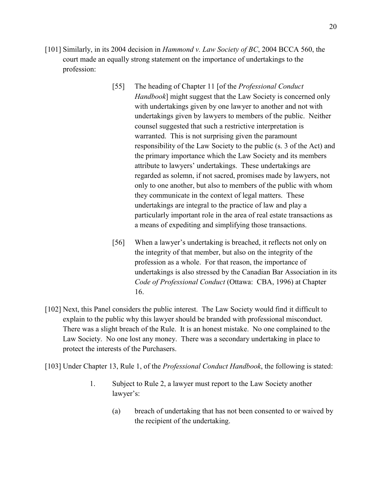- [101] Similarly, in its 2004 decision in *Hammond v. Law Society of BC*, 2004 BCCA 560, the court made an equally strong statement on the importance of undertakings to the profession:
	- [55] The heading of Chapter 11 [of the *Professional Conduct Handbook*] might suggest that the Law Society is concerned only with undertakings given by one lawyer to another and not with undertakings given by lawyers to members of the public. Neither counsel suggested that such a restrictive interpretation is warranted. This is not surprising given the paramount responsibility of the Law Society to the public (s. 3 of the Act) and the primary importance which the Law Society and its members attribute to lawyers' undertakings. These undertakings are regarded as solemn, if not sacred, promises made by lawyers, not only to one another, but also to members of the public with whom they communicate in the context of legal matters. These undertakings are integral to the practice of law and play a particularly important role in the area of real estate transactions as a means of expediting and simplifying those transactions.
	- [56] When a lawyer's undertaking is breached, it reflects not only on the integrity of that member, but also on the integrity of the profession as a whole. For that reason, the importance of undertakings is also stressed by the Canadian Bar Association in its *Code of Professional Conduct* (Ottawa: CBA, 1996) at Chapter 16.
- [102] Next, this Panel considers the public interest. The Law Society would find it difficult to explain to the public why this lawyer should be branded with professional misconduct. There was a slight breach of the Rule. It is an honest mistake. No one complained to the Law Society. No one lost any money. There was a secondary undertaking in place to protect the interests of the Purchasers.

[103] Under Chapter 13, Rule 1, of the *Professional Conduct Handbook*, the following is stated:

- 1. Subject to Rule 2, a lawyer must report to the Law Society another lawyer's:
	- (a) breach of undertaking that has not been consented to or waived by the recipient of the undertaking.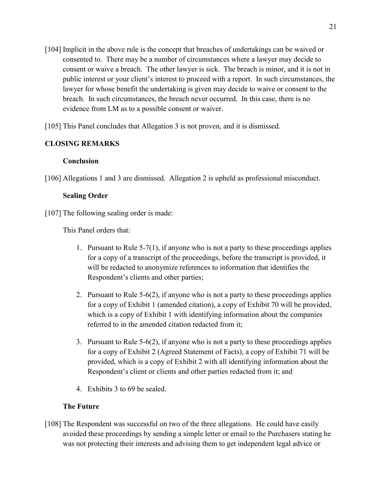- [104] Implicit in the above rule is the concept that breaches of undertakings can be waived or consented to. There may be a number of circumstances where a lawyer may decide to consent or waive a breach. The other lawyer is sick. The breach is minor, and it is not in public interest or your client's interest to proceed with a report. In such circumstances, the lawyer for whose benefit the undertaking is given may decide to waive or consent to the breach. In such circumstances, the breach never occurred. In this case, there is no evidence from LM as to a possible consent or waiver.
- [105] This Panel concludes that Allegation 3 is not proven, and it is dismissed.

# **CLOSING REMARKS**

## **Conclusion**

[106] Allegations 1 and 3 are dismissed. Allegation 2 is upheld as professional misconduct.

## **Sealing Order**

[107] The following sealing order is made:

This Panel orders that:

- 1. Pursuant to Rule 5-7(1), if anyone who is not a party to these proceedings applies for a copy of a transcript of the proceedings, before the transcript is provided, it will be redacted to anonymize references to information that identifies the Respondent's clients and other parties;
- 2. Pursuant to Rule 5-6(2), if anyone who is not a party to these proceedings applies for a copy of Exhibit 1 (amended citation), a copy of Exhibit 70 will be provided, which is a copy of Exhibit 1 with identifying information about the companies referred to in the amended citation redacted from it;
- 3. Pursuant to Rule 5-6(2), if anyone who is not a party to these proceedings applies for a copy of Exhibit 2 (Agreed Statement of Facts), a copy of Exhibit 71 will be provided, which is a copy of Exhibit 2 with all identifying information about the Respondent's client or clients and other parties redacted from it; and
- 4. Exhibits 3 to 69 be sealed.

## **The Future**

[108] The Respondent was successful on two of the three allegations. He could have easily avoided these proceedings by sending a simple letter or email to the Purchasers stating he was not protecting their interests and advising them to get independent legal advice or